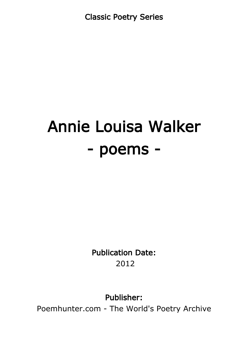Classic Poetry Series

# Annie Louisa Walker - poems -

Publication Date: 2012

Publisher:

Poemhunter.com - The World's Poetry Archive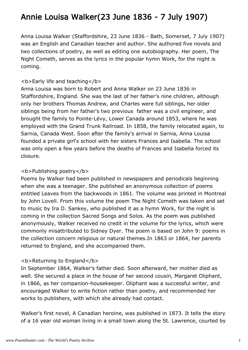# Annie Louisa Walker(23 June 1836 - 7 July 1907)

Anna Louisa Walker (Staffordshire, 23 June 1836 - Bath, Somerset, 7 July 1907) was an English and Canadian teacher and author. She authored five novels and two collections of poetry, as well as editing one autobiography. Her poem, The Night Cometh, serves as the lyrics in the popular hymn Work, for the night is coming.

#### <b>Early life and teaching</b>

Anna Louisa was born to Robert and Anna Walker on 23 June 1836 in Staffordshire, England. She was the last of her father's nine children, although only her brothers Thomas Andrew, and Charles were full siblings, her older siblings being from her father's two previous father was a civil engineer, and brought the family to Pointe-Lévy, Lower Canada around 1853, where he was employed with the Grand Trunk Railroad. In 1858, the family relocated again, to Sarnia, Canada West. Soon after the family's arrival in Sarnia, Anna Louisa founded a private girl's school with her sisters Frances and Isabella. The school was only open a few years before the deaths of Frances and Isabella forced its closure.

#### <b>Publishing poetry</b>

Poems by Walker had been published in newspapers and periodicals beginning when she was a teenager. She published an anonymous collection of poems entitled Leaves from the backwoods in 1861. The volume was printed in Montreal by John Lovell. From this volume the poem The Night Cometh was taken and set to music by Ira D. Sankey, who published it as a hymn Work, for the night is coming in the collection Sacred Songs and Solos. As the poem was published anonymously, Walker received no credit in the volume for the lyrics, which were commonly misattributed to Sidney Dyer. The poem is based on John 9: poems in the collection concern religious or natural themes.In 1863 or 1864, her parents returned to England, and she accompanied them.

#### <b>Returning to England</b>

In September 1864, Walker's father died. Soon afterward, her mother died as well. She secured a place in the house of her second cousin, Margaret Oliphant, in 1866, as her companion-housekeeper. Oliphant was a successful writer, and encouraged Walker to write fiction rather than poetry, and recommended her works to publishers, with which she already had contact.

Walker's first novel, A Canadian heroine, was published in 1873. It tells the story of a 16 year old woman living in a small town along the St. Lawrence, courted by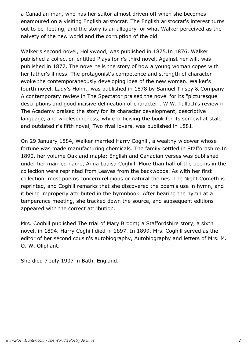a Canadian man, who has her suitor almost driven off when she becomes enamoured on a visiting English aristocrat. The English aristocrat's interest turns out to be fleeting, and the story is an allegory for what Walker perceived as the naivety of the new world and the corruption of the old.

Walker's second novel, Hollywood, was published in 1875.In 1876, Walker published a collection entitled Plays for r's third novel, Against her will, was published in 1877. The novel tells the story of how a young woman copes with her father's illness. The protagonist's competence and strength of character evoke the contemporaneously developing idea of the new woman. Walker's fourth novel, Lady's Holm., was published in 1878 by Samuel Tinsey & Company. A contemporary review in The Spectator praised the novel for its "picturesque descriptions and good incisive delineation of character". W.W. Tulloch's review in The Academy praised the story for its character development, descriptive language, and wholesomeness; while criticising the book for its somewhat stale and outdated r's fifth novel, Two rival lovers, was published in 1881.

On 29 January 1884, Walker married Harry Coghill, a wealthy widower whose fortune was made manufacturing chemicals. The family settled in Staffordshire.In 1890, her volume Oak and maple: English and Canadian verses was published under her married name, Anna Louisa Coghill. More than half of the poems in the collection were reprinted from Leaves from the backwoods. As with her first collection, most poems concern religious or natural themes. The Night Cometh is reprinted, and Coghill remarks that she discovered the poem's use in hymn, and it being improperly attributed in the hymnbook. After hearing the hymn at a temperance meeting, she tracked down the source, and subsequent editions appeared with the correct attribution.

Mrs. Coghill published The trial of Mary Broom; a Staffordshire story, a sixth novel, in 1894. Harry Coghill died in 1897. In 1899, Mrs. Coghill served as the editor of her second cousin's autobiography, Autobiography and letters of Mrs. M. O. W. Oliphant.

She died 7 July 1907 in Bath, England.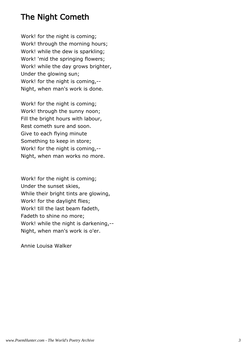## The Night Cometh

Work! for the night is coming; Work! through the morning hours; Work! while the dew is sparkling; Work! 'mid the springing flowers; Work! while the day grows brighter, Under the glowing sun; Work! for the night is coming,-- Night, when man's work is done.

Work! for the night is coming; Work! through the sunny noon; Fill the bright hours with labour, Rest cometh sure and soon. Give to each flying minute Something to keep in store; Work! for the night is coming,-- Night, when man works no more.

Work! for the night is coming; Under the sunset skies, While their bright tints are glowing, Work! for the daylight flies; Work! till the last beam fadeth, Fadeth to shine no more; Work! while the night is darkening,-- Night, when man's work is o'er.

Annie Louisa Walker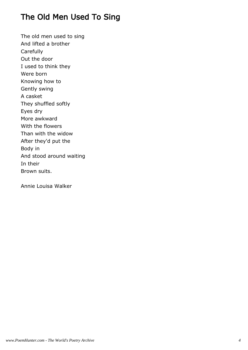# The Old Men Used To Sing

The old men used to sing And lifted a brother **Carefully** Out the door I used to think they Were born Knowing how to Gently swing A casket They shuffled softly Eyes dry More awkward With the flowers Than with the widow After they'd put the Body in And stood around waiting In their Brown suits.

Annie Louisa Walker